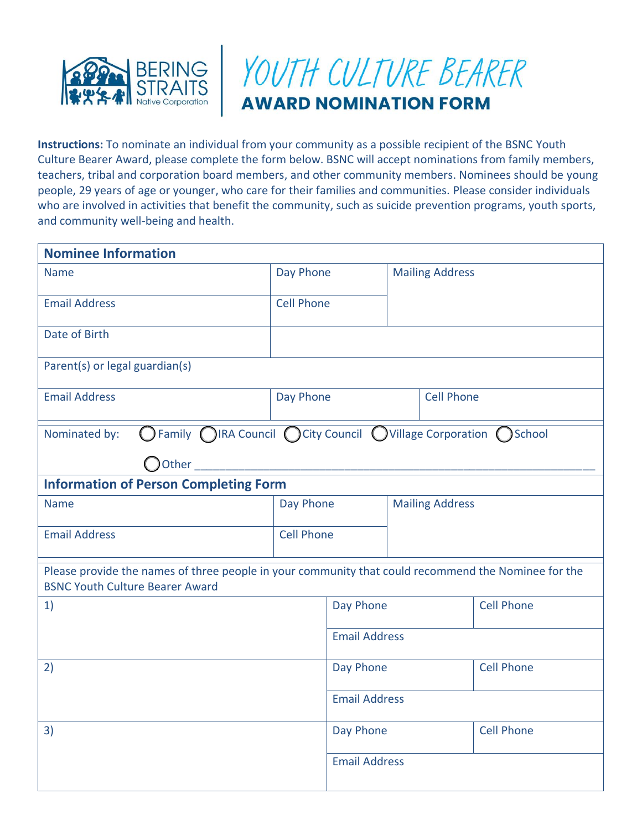



**Instructions:** To nominate an individual from your community as a possible recipient of the BSNC Youth Culture Bearer Award, please complete the form below. BSNC will accept nominations from family members, teachers, tribal and corporation board members, and other community members. Nominees should be young people, 29 years of age or younger, who care for their families and communities. Please consider individuals who are involved in activities that benefit the community, such as suicide prevention programs, youth sports, and community well-being and health.

| <b>Nominee Information</b>                                                                                                                    |                   |                      |                        |                        |                   |
|-----------------------------------------------------------------------------------------------------------------------------------------------|-------------------|----------------------|------------------------|------------------------|-------------------|
| <b>Name</b>                                                                                                                                   | Day Phone         |                      |                        | <b>Mailing Address</b> |                   |
| <b>Email Address</b>                                                                                                                          | <b>Cell Phone</b> |                      |                        |                        |                   |
| Date of Birth                                                                                                                                 |                   |                      |                        |                        |                   |
| Parent(s) or legal guardian(s)                                                                                                                |                   |                      |                        |                        |                   |
| <b>Email Address</b>                                                                                                                          | Day Phone         |                      | <b>Cell Phone</b>      |                        |                   |
| ○Family ○IRA Council ○City Council ○Village Corporation ○School<br>Nominated by:                                                              |                   |                      |                        |                        |                   |
| Other                                                                                                                                         |                   |                      |                        |                        |                   |
| <b>Information of Person Completing Form</b>                                                                                                  |                   |                      |                        |                        |                   |
| <b>Name</b>                                                                                                                                   | Day Phone         |                      | <b>Mailing Address</b> |                        |                   |
| <b>Email Address</b>                                                                                                                          | <b>Cell Phone</b> |                      |                        |                        |                   |
| Please provide the names of three people in your community that could recommend the Nominee for the<br><b>BSNC Youth Culture Bearer Award</b> |                   |                      |                        |                        |                   |
| 1)                                                                                                                                            |                   | Day Phone            |                        |                        | <b>Cell Phone</b> |
|                                                                                                                                               |                   | <b>Email Address</b> |                        |                        |                   |
| 2)                                                                                                                                            |                   | Day Phone            |                        |                        | <b>Cell Phone</b> |
|                                                                                                                                               |                   | <b>Email Address</b> |                        |                        |                   |
| 3)                                                                                                                                            |                   | Day Phone            |                        |                        | <b>Cell Phone</b> |
|                                                                                                                                               |                   | <b>Email Address</b> |                        |                        |                   |